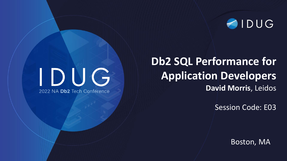

## IDUG 2022 NA Db2 Tech Conference

### **Db2 SQL Performance for Application Developers David Morris**, Leidos

Session Code: E03

Boston, MA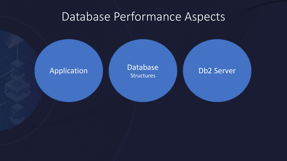#### Database Performance Aspects

Application **Database Database** Db2 Server **Structures**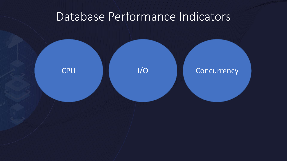#### Database Performance Indicators

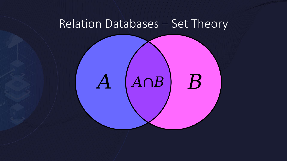#### Relation Databases – Set Theory

# $A \cap B$  $B$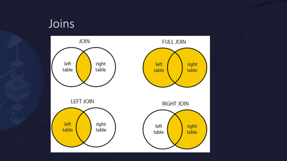#### Joins

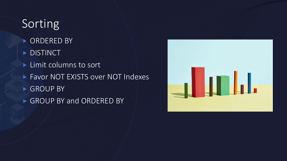### **Sorting**

- **ORDERED BY**
- DISTINCT
- **Limit columns to sort**
- ▶ Favor NOT EXISTS over NOT Indexes
- GROUP BY
- GROUP BY and ORDERED BY

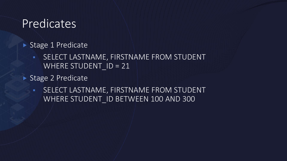#### Predicates

- Stage 1 Predicate
	- **SELECT LASTNAME, FIRSTNAME FROM STUDENT** WHERE STUDENT  $ID = 21$
- ▶ Stage 2 Predicate
	- **EXECT LASTNAME, FIRSTNAME FROM STUDENT** WHERE STUDENT ID BETWEEN 100 AND 300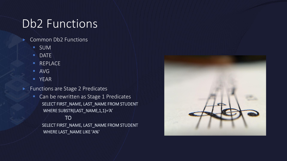### Db2 Functions

- Common Db2 Functions
	- SUM
	- DATE
	- REPLACE
	- AVG
	- YEAR
- **Functions are Stage 2 Predicates** 
	- Can be rewritten as Stage 1 Predicates SELECT FIRST\_NAME, LAST\_NAME FROM STUDENT WHERE SUBSTR(LAST\_NAME,1,1)='A'

#### TO

SELECT FIRST\_NAME, LAST\_NAME FROM STUDENT WHERE LAST\_NAME LIKE 'A%'

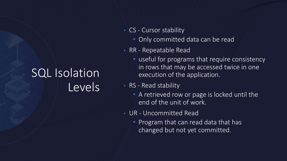## SQL Isolation Levels

- CS Cursor stability
	- Only committed data can be read
- RR Repeatable Read
	- useful for programs that require consistency in rows that may be accessed twice in one execution of the application.
- RS Read stability
	- A retrieved row or page is locked until the end of the unit of work.
- UR Uncommitted Read
	- Program that can read data that has changed but not yet committed.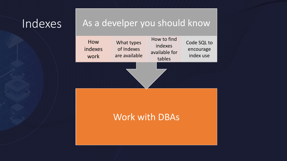#### Indexes

#### As a develper you should know

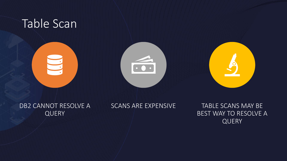

DB2 CANNOT RESOLVE A **QUERY** 

SCANS ARE EXPENSIVE TABLE SCANS MAY BE BEST WAY TO RESOLVE A QUERY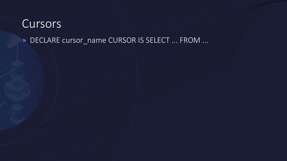#### Cursors

#### DECLARE cursor\_name CURSOR IS SELECT ... FROM ...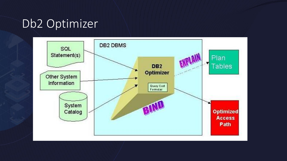#### Db2 Optimizer

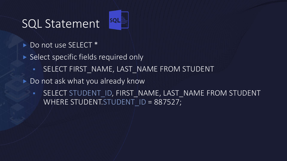#### SQL Statement

- Do not use SELECT \*
- ▶ Select specific fields required only
	- **SELECT FIRST\_NAME, LAST\_NAME FROM STUDENT**

**SQLE** 

- Do not ask what you already know
	- SELECT STUDENT\_ID, FIRST\_NAME, LAST\_NAME FROM STUDENT WHERE STUDENT.STUDENT ID = 887527;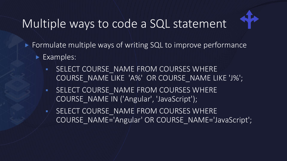## Multiple ways to code a SQL statement



- ▶ Formulate multiple ways of writing SQL to improve performance
	- Examples:
		- **EXECTE COURSE\_NAME FROM COURSES WHERE** COURSE\_NAME LIKE 'A%' OR COURSE\_NAME LIKE 'J%';
		- **EXAMPLE COURSE\_NAME FROM COURSES WHERE** COURSE\_NAME IN ('Angular', 'JavaScript');
		- SELECT COURSE\_NAME FROM COURSES WHERE COURSE\_NAME='Angular' OR COURSE\_NAME='JavaScript';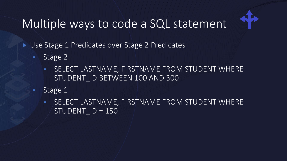## Multiple ways to code a SQL statement



Use Stage 1 Predicates over Stage 2 Predicates

- Stage 2
	- **EXECT LASTNAME, FIRSTNAME FROM STUDENT WHERE** STUDENT\_ID BETWEEN 100 AND 300
- Stage 1
	- **SELECT LASTNAME, FIRSTNAME FROM STUDENT WHERE**  $STUDENT$   $ID = 150$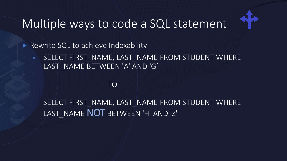## Multiple ways to code a SQL statement



Rewrite SQL to achieve Indexability

**EXECT FIRST\_NAME, LAST\_NAME FROM STUDENT WHERE** LAST\_NAME BETWEEN 'A' AND 'G'

#### TO

SELECT FIRST\_NAME, LAST\_NAME FROM STUDENT WHERE LAST\_NAME NOT BETWEEN 'H' AND 'Z'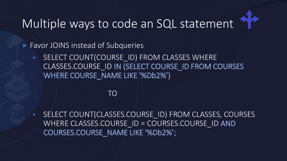## Multiple ways to code an SQL statement

**Favor JOINS instead of Subqueries** 

**EXECT COUNT(COURSE ID) FROM CLASSES WHERE** CLASSES.COURSE\_ID IN (SELECT COURSE\_ID FROM COURSES WHERE COURSE\_NAME LIKE '%Db2%')

#### TO

▪ SELECT COUNT(CLASSES.COURSE\_ID) FROM CLASSES, COURSES WHERE CLASSES.COURSE ID = COURSES.COURSE\_ID AND COURSES.COURSE\_NAME LIKE '%Db2%';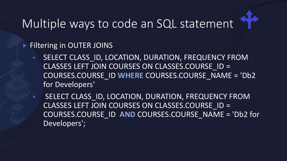## Multiple ways to code an SQL statement



#### **Filtering in OUTER JOINS**

**EXECT CLASS ID, LOCATION, DURATION, FREQUENCY FROM** CLASSES LEFT JOIN COURSES ON CLASSES.COURSE\_ID = COURSES.COURSE\_ID **WHERE** COURSES.COURSE\_NAME = 'Db2 for Developers'

**EXECT CLASS\_ID, LOCATION, DURATION, FREQUENCY FROM** CLASSES LEFT JOIN COURSES ON CLASSES.COURSE\_ID = COURSES.COURSE\_ID **AND** COURSES.COURSE\_NAME = 'Db2 for Developers';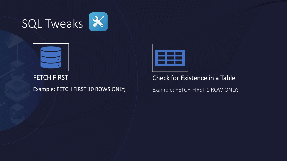# SQL Tweaks



FETCH FIRST

Example: FETCH FIRST 10 ROWS ONLY;



Check for Existence in a Table

Example: FETCH FIRST 1 ROW ONLY;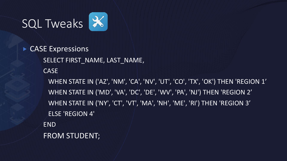

 CASE Expressions SELECT FIRST\_NAME, LAST\_NAME, CASE WHEN STATE IN ('AZ', 'NM', 'CA', 'NV', 'UT', 'CO', 'TX', 'OK') THEN 'REGION 1' WHEN STATE IN ('MD', 'VA', 'DC', 'DE', 'WV', 'PA', 'NJ') THEN 'REGION 2' WHEN STATE IN ('NY', 'CT', 'VT', 'MA', 'NH', 'ME', 'RI') THEN 'REGION 3' ELSE 'REGION 4' END FROM STUDENT;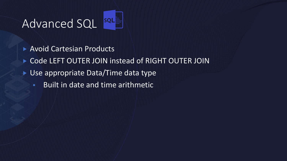## Advanced SQL SOL

- Avoid Cartesian Products
- Code LEFT OUTER JOIN instead of RIGHT OUTER JOIN
- ▶ Use appropriate Data/Time data type
	- Built in date and time arithmetic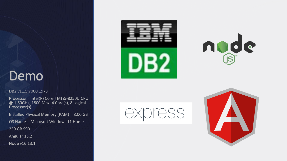#### Demo

#### DB2 v11.5.7000.1973

Processor Intel(R) Core(TM) i5-8250U CPU @ 1.60GHz, 1800 Mhz, 4 Core(s), 8 Logical Processor(s)

Installed Physical Memory (RAM) 8.00 GB

OS Name Microsoft Windows 11 Home

250 GB SSD

Angular 13.2

Node v16.13.1







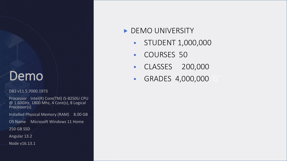#### Demo

#### DB2 v11.5.7000.1973

Processor Intel(R) Core(TM) i5-8250U CPU @ 1.60GHz, 1800 Mhz, 4 Core(s), 8 Logical Processor(s)

Installed Physical Memory (RAM) 8.00 GB

OS Name Microsoft Windows 11 Home

250 GB SSD

Angular 13.2

Node v16.13.1

#### DEMO UNIVERSITY

- **STUDENT 1,000,000**
- COURSES 50
- CLASSES 200,000
- **GRADES 4,000,000**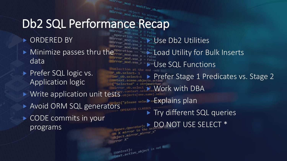## Db2 SQL Performance Recap

 $m_1r_0r_m$  =  $modifier_0b_m$ 

- ORDERED BY
- $\blacktriangleright$  Minimize passes thru the  $\mathsf{P}_{\mathsf{r}}$  and  $\mathsf{P}_{\mathsf{r}}$ data
- Prefer SQL logic vs. Application logic
- Write application unit tests objects [one name]
- Avoid ORM SQL generators
- CODE commits in your programs

**WE Use Db2 Utilities Pror\_mod.use** Load Utility for Bulk Inserts Use SQL Functions ob.select=1  $\begin{array}{l} \mathbb{R}^n \longrightarrow \mathbb{R}^n \longrightarrow \mathbb{R}^n$  Prefer Stage 1 Predicates vs. Stage 2 **str(modifically Cork with DBA**  Explains plan Try different SQL queries  $\text{C}_{\text{tot of the self-}o}$  and  $\text{C}_{\text{tot}}$  and  $\text{C}_{\text{tot}}$  and  $\text{C}_{\text{tot}}$  and  $\text{C}_{\text{tot}}$  and  $\text{C}_{\text{tot}}$  and  $\text{C}_{\text{tot}}$  and  $\text{C}_{\text{tot}}$  and  $\text{C}_{\text{tot}}$  and  $\text{C}_{\text{tot}}$  and  $\text{C}_{\text{tot}}$  and  $\text{C}_{\text{tot}}$  and  $\text{C}_{\text{tot}}$ X mirror to the  $\operatorname{For} X$  $intext$ ):<br>ext.active\_object\_is\_not